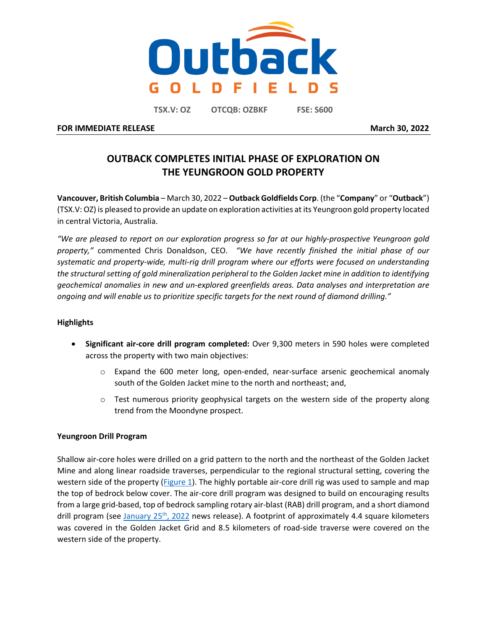

**TSX.V: OZ OTCQB: OZBKF FSE: S600**

**FOR IMMEDIATE RELEASE March** 30, 2022

# **OUTBACK COMPLETES INITIAL PHASE OF EXPLORATION ON THE YEUNGROON GOLD PROPERTY**

**Vancouver, British Columbia** – March 30, 2022 – **Outback Goldfields Corp**. (the "**Company**" or "**Outback**") (TSX.V: OZ) is pleased to provide an update on exploration activities at its Yeungroon gold property located in central Victoria, Australia.

*"We are pleased to report on our exploration progress so far at our highly-prospective Yeungroon gold property,"* commented Chris Donaldson, CEO. *"We have recently finished the initial phase of our systematic and property-wide, multi-rig drill program where our efforts were focused on understanding the structural setting of gold mineralization peripheral to the Golden Jacket mine in addition to identifying geochemical anomalies in new and un-explored greenfields areas. Data analyses and interpretation are ongoing and will enable us to prioritize specific targets for the next round of diamond drilling."* 

# **Highlights**

- **Significant air-core drill program completed:** Over 9,300 meters in 590 holes were completed across the property with two main objectives:
	- o Expand the 600 meter long, open-ended, near-surface arsenic geochemical anomaly south of the Golden Jacket mine to the north and northeast; and,
	- $\circ$  Test numerous priority geophysical targets on the western side of the property along trend from the Moondyne prospect.

## **Yeungroon Drill Program**

Shallow air-core holes were drilled on a grid pattern to the north and the northeast of the Golden Jacket Mine and along linear roadside traverses, perpendicular to the regional structural setting, covering the western side of the property [\(Figure 1\)](#page-1-0). The highly portable air-core drill rig was used to sample and map the top of bedrock below cover. The air-core drill program was designed to build on encouraging results from a large grid-based, top of bedrock sampling rotary air-blast (RAB) drill program, and a short diamond drill program (see January  $25<sup>th</sup>$ , 2022 news release). A footprint of approximately 4.4 square kilometers was covered in the Golden Jacket Grid and 8.5 kilometers of road-side traverse were covered on the western side of the property.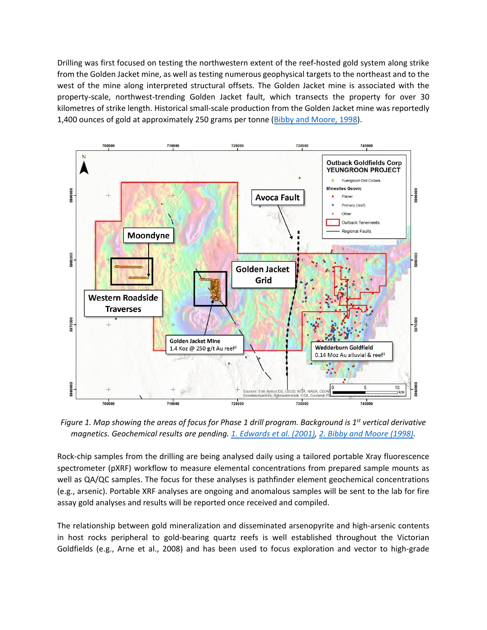Drilling was first focused on testing the northwestern extent of the reef-hosted gold system along strike from the Golden Jacket mine, as well as testing numerous geophysical targets to the northeast and to the west of the mine along interpreted structural offsets. The Golden Jacket mine is associated with the property-scale, northwest-trending Golden Jacket fault, which transects the property for over 30 kilometres of strike length. Historical small-scale production from the Golden Jacket mine was reportedly 1,400 ounces of gold at approximately 250 grams per tonne [\(Bibby and Moore, 1998\)](#page-2-0).



<span id="page-1-0"></span>*Figure 1. Map showing the areas of focus for Phase 1 drill program. Background is 1st vertical derivative magnetics. Geochemical results are pending. [1. Edwards et al. \(2001\),](#page-2-1) [2. Bibby and Moore \(1998\).](#page-2-0)* 

Rock-chip samples from the drilling are being analysed daily using a tailored portable Xray fluorescence spectrometer (pXRF) workflow to measure elemental concentrations from prepared sample mounts as well as QA/QC samples. The focus for these analyses is pathfinder element geochemical concentrations (e.g., arsenic). Portable XRF analyses are ongoing and anomalous samples will be sent to the lab for fire assay gold analyses and results will be reported once received and compiled.

The relationship between gold mineralization and disseminated arsenopyrite and high-arsenic contents in host rocks peripheral to gold-bearing quartz reefs is well established throughout the Victorian Goldfields (e.g., Arne et al., 2008) and has been used to focus exploration and vector to high-grade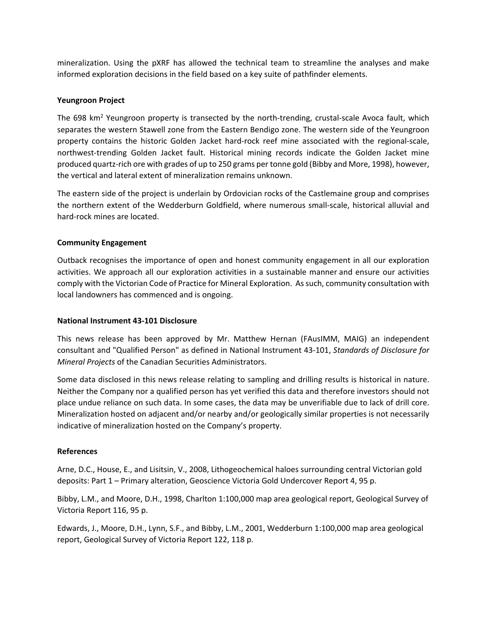mineralization. Using the pXRF has allowed the technical team to streamline the analyses and make informed exploration decisions in the field based on a key suite of pathfinder elements.

# **Yeungroon Project**

The 698 km<sup>2</sup> Yeungroon property is transected by the north-trending, crustal-scale Avoca fault, which separates the western Stawell zone from the Eastern Bendigo zone. The western side of the Yeungroon property contains the historic Golden Jacket hard-rock reef mine associated with the regional-scale, northwest-trending Golden Jacket fault. Historical mining records indicate the Golden Jacket mine produced quartz-rich ore with grades of up to 250 grams per tonne gold (Bibby and More, 1998), however, the vertical and lateral extent of mineralization remains unknown.

The eastern side of the project is underlain by Ordovician rocks of the Castlemaine group and comprises the northern extent of the Wedderburn Goldfield, where numerous small-scale, historical alluvial and hard-rock mines are located.

# **Community Engagement**

Outback recognises the importance of open and honest community engagement in all our exploration activities. We approach all our exploration activities in a sustainable manner and ensure our activities comply with the Victorian Code of Practice for Mineral Exploration. As such, community consultation with local landowners has commenced and is ongoing.

# **National Instrument 43-101 Disclosure**

This news release has been approved by Mr. Matthew Hernan (FAusIMM, MAIG) an independent consultant and "Qualified Person" as defined in National Instrument 43-101, *Standards of Disclosure for Mineral Projects* of the Canadian Securities Administrators.

Some data disclosed in this news release relating to sampling and drilling results is historical in nature. Neither the Company nor a qualified person has yet verified this data and therefore investors should not place undue reliance on such data. In some cases, the data may be unverifiable due to lack of drill core. Mineralization hosted on adjacent and/or nearby and/or geologically similar properties is not necessarily indicative of mineralization hosted on the Company's property.

# **References**

Arne, D.C., House, E., and Lisitsin, V., 2008, Lithogeochemical haloes surrounding central Victorian gold deposits: Part 1 – Primary alteration, Geoscience Victoria Gold Undercover Report 4, 95 p.

<span id="page-2-0"></span>Bibby, L.M., and Moore, D.H., 1998, Charlton 1:100,000 map area geological report, Geological Survey of Victoria Report 116, 95 p.

<span id="page-2-1"></span>Edwards, J., Moore, D.H., Lynn, S.F., and Bibby, L.M., 2001, Wedderburn 1:100,000 map area geological report, Geological Survey of Victoria Report 122, 118 p.